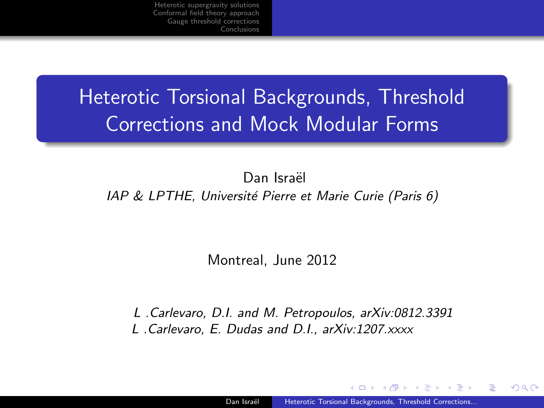# Heterotic Torsional Backgrounds, Threshold Corrections and Mock Modular Forms

Dan Israël

#### IAP & LPTHE, Université Pierre et Marie Curie (Paris 6)

<span id="page-0-0"></span>Montreal, June 2012

L .Carlevaro, D.I. and M. Petropoulos, arXiv:0812.3391 L .Carlevaro, E. Dudas and D.I., arXiv:1207.xxxx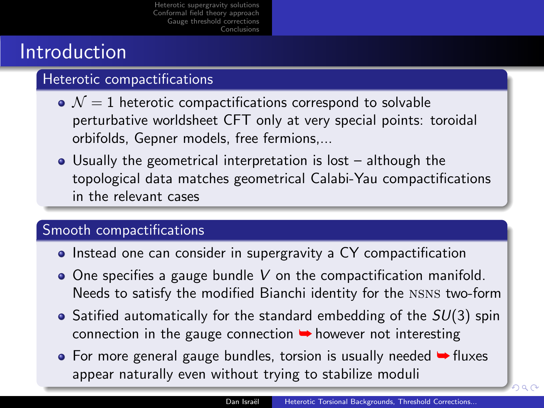# Introduction

### Heterotic compactifications

- $\bullet$   $\mathcal{N}=1$  heterotic compactifications correspond to solvable perturbative worldsheet CFT only at very special points: toroidal orbifolds, Gepner models, free fermions,...
- Usually the geometrical interpretation is lost although the topological data matches geometrical Calabi-Yau compactifications in the relevant cases

### Smooth compactifications

- Instead one can consider in supergravity a CY compactification
- $\bullet$  One specifies a gauge bundle V on the compactification manifold. Needs to satisfy the modified Bianchi identity for the nsns two-form
- $\bullet$  Satified automatically for the standard embedding of the  $SU(3)$  spin connection in the gauge connection  $\rightarrow$  however not interesting
- $\bullet$  For more general gauge bundles, torsion is usually needed  $\bullet$  fluxes appear naturally even without trying to sta[bili](#page-0-0)z[e](#page-2-0) [m](#page-0-0)[od](#page-1-0)[u](#page-2-0)[li](#page-0-0)

<span id="page-1-0"></span>റെ ദ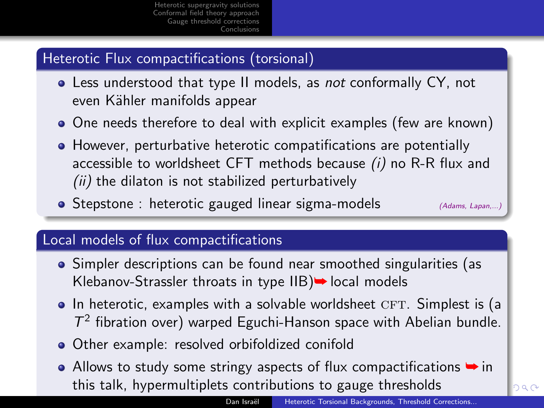### Heterotic Flux compactifications (torsional)

- Less understood that type II models, as not conformally CY, not even Kähler manifolds appear
- One needs therefore to deal with explicit examples (few are known)
- However, perturbative heterotic compatifications are potentially accessible to worldsheet CFT methods because  $(i)$  no R-R flux and  $(ii)$  the dilaton is not stabilized perturbatively
- $\bullet$  Stepstone : heterotic gauged linear sigma-models  $(Adams, Lapam, ...)$

<span id="page-2-0"></span>റ പറ

### Local models of flux compactifications

- Simpler descriptions can be found near smoothed singularities (as Klebanov-Strassler throats in type  $IIB$   $\rightarrow$  local models
- $\bullet$  In heterotic, examples with a solvable worldsheet CFT. Simplest is (a  $T^2$  fibration over) warped Eguchi-Hanson space with Abelian bundle.
- Other example: resolved orbifoldized conifold
- Allows to study some stringy aspects of flux compactifications  $\rightarrow$  in this talk, hypermultiplets contributions to g[au](#page-1-0)g[e](#page-3-0) [t](#page-1-0)[hre](#page-2-0)[s](#page-3-0)[hol](#page-0-0)[d](#page-3-0)[s](#page-4-0)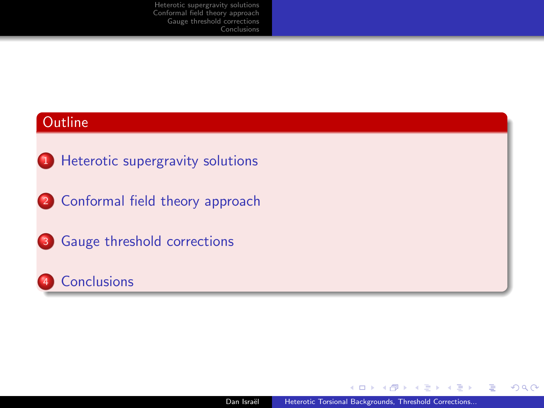#### **Outline**

- <sup>1</sup> [Heterotic supergravity solutions](#page-4-0)
- 2 [Conformal field theory approach](#page-12-0)
- <sup>3</sup> [Gauge threshold corrections](#page-18-0)



4 0 8 Dan Israël | [Heterotic Torsional Backgrounds, Threshold Corrections...](#page-0-0)

→ 伊 ▶

医单位 医单位

<span id="page-3-0"></span> $E$   $\Omega$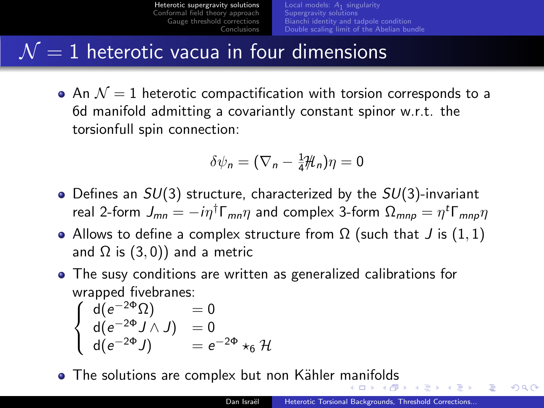# $\mathcal{N}=1$  heterotic vacua in four dimensions

 $\bullet$  An  $\mathcal{N}=1$  heterotic compactification with torsion corresponds to a 6d manifold admitting a covariantly constant spinor w.r.t. the torsionfull spin connection:

<span id="page-4-0"></span>
$$
\delta\psi_n=(\nabla_n-\tfrac{1}{4}\mathcal{H}_n)\eta=0
$$

- Defines an  $SU(3)$  structure, characterized by the  $SU(3)$ -invariant real 2-form  $J_{mn}=-i\eta^{\dagger}\Gamma_{mn}\eta$  and complex 3-form  $\Omega_{mnp}=\eta^{\dagger}\Gamma_{mnp}\eta$
- Allows to define a complex structure from  $\Omega$  (such that J is (1, 1) and  $\Omega$  is (3,0)) and a metric
- The susy conditions are written as generalized calibrations for wrapped fivebranes:

$$
\begin{cases}\n d(e^{-2\Phi}\Omega) &= 0\\ \nd(e^{-2\Phi}J \wedge J) &= 0\\ \nd(e^{-2\Phi}J) &= e^{-2\Phi} \star_6 \mathcal{H}\n\end{cases}
$$

• The solutions are complex but non Kähler [ma](#page-3-0)n[ifo](#page-5-0)[l](#page-3-0)[ds](#page-4-0)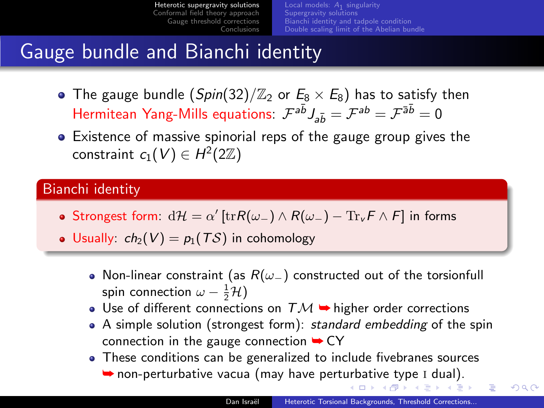[Local models:](#page-6-0)  $A_1$  singularity [Supergravity solutions](#page-8-0) [Bianchi identity and tadpole condition](#page-10-0) [Double scaling limit of the Abelian bundle](#page-11-0)

### Gauge bundle and Bianchi identity

- The gauge bundle  $(Spin(32)/\mathbb{Z}_2$  or  $E_8 \times E_8$ ) has to satisfy then Hermitean Yang-Mills equations:  $\mathcal{F}^{a\bar{b}}J_{a\bar{b}}=\mathcal{F}^{ab}=\mathcal{F}^{\bar{a}\bar{b}}=0$
- Existence of massive spinorial reps of the gauge group gives the constraint  $c_1(V) \in H^2(2\mathbb{Z})$

### Bianchi identity

- Strongest form:  $d\mathcal{H} = \alpha' \left[ \text{tr} R(\omega_-) \wedge R(\omega_-) \text{Tr}_{\nu} F \wedge F \right]$  in forms
- Usually:  $ch_2(V) = p_1(TS)$  in cohomology
	- Non-linear constraint (as  $R(\omega_{-})$  constructed out of the torsionfull spin connection  $\omega - \frac{1}{2} \mathcal{H}$ )
	- Use of different connections on  $TM$   $\rightarrow$  higher order corrections
	- A simple solution (strongest form): standard embedding of the spin connection in the gauge connection  $\rightarrow$  CY
	- These conditions can be generalized to include fivebranes sources  $\rightarrow$  $\rightarrow$  $\rightarrow$  non-pert[urb](#page-4-0)[ati](#page-6-0)[ve](#page-4-0) vacua (may have perturbative [ty](#page-5-0)[p](#page-6-0)[e](#page-3-0) I [du](#page-6-0)a[l\)](#page-4-0)[.](#page-11-0)

<span id="page-5-0"></span> $\equiv$   $\Omega$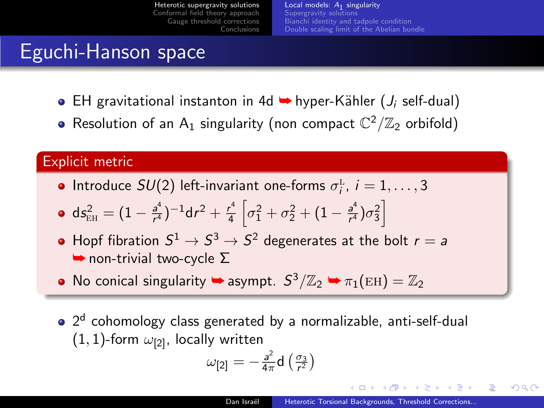[Local models:](#page-6-0)  $A_1$  singularity [Supergravity solutions](#page-8-0) [Bianchi identity and tadpole condition](#page-10-0) [Double scaling limit of the Abelian bundle](#page-11-0)

### Eguchi-Hanson space

- **EH** gravitational instanton in 4d  $\rightarrow$  hyper-Kähler (*J<sub>i</sub>* self-dual)
- Resolution of an  $A_1$  singularity (non compact  $\mathbb{C}^2/\mathbb{Z}_2$  orbifold)

### Explicit metric

Introduce  $SU(2)$  left-invariant one-forms  $\sigma_i^L$ ,  $i = 1, ..., 3$ 

$$
\bullet \ \ \text{d} s_{\text{EH}}^2 = (1-\tfrac{a^4}{r^4})^{-1} \text{d} r^2 + \tfrac{r^4}{4} \left[ \sigma_1^2 + \sigma_2^2 + (1-\tfrac{a^4}{r^4}) \sigma_3^2 \right]
$$

- Hopf fibration  $S^1 \rightarrow S^3 \rightarrow S^2$  degenerates at the bolt  $r=a$  $\rightarrow$  non-trivial two-cycle  $\Sigma$
- No conical singularity  $\rightarrow$  asympt.  $S^3/\mathbb{Z}_2 \rightarrow \pi_1(\text{EH}) = \mathbb{Z}_2$
- 2<sup>d</sup> cohomology class generated by a normalizable, anti-self-dual  $(1, 1)$ -form  $\omega_{121}$ , locally written

$$
\omega_{[2]} = -\frac{a^2}{4\pi} \mathsf{d}\left(\frac{\sigma_3}{r^2}\right)
$$

<span id="page-6-0"></span>- イター・ステート イラー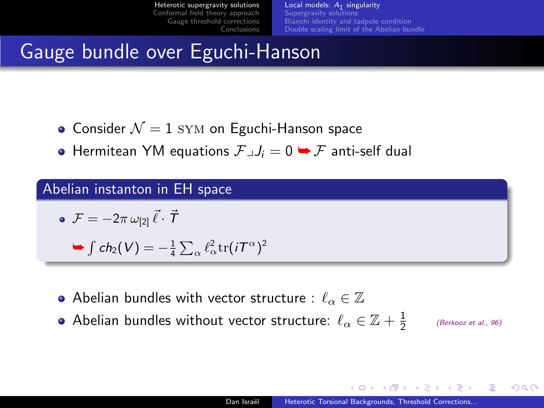[Local models:](#page-6-0)  $A_1$  singularity [Supergravity solutions](#page-8-0) [Bianchi identity and tadpole condition](#page-10-0) [Double scaling limit of the Abelian bundle](#page-11-0)

# Gauge bundle over Eguchi-Hanson

- Consider  $\mathcal{N}=1$  SYM on Eguchi-Hanson space
- **•** Hermitean YM equations  $\mathcal{F}\mathcal{A}=\mathcal{I}=\mathcal{F}$  anti-self dual

#### Abelian instanton in EH space

$$
\bullet \ \mathcal{F} = -2\pi \,\omega_{[2]}\,\vec{\ell}\cdot\vec{\mathcal{T}}
$$

$$
\blacktriangleright \int ch_2(V) = -\frac{1}{4}\sum_\alpha \ell_\alpha^2 \text{tr}(i\mathcal{T}^\alpha)^2
$$

- Abelian bundles with vector structure :  $\ell_{\alpha} \in \mathbb{Z}$
- <span id="page-7-0"></span>Abelian bundles without vector structure:  $\ell_\alpha\in \mathbb{Z}+\frac{1}{2}$ (Berkooz et al., 96)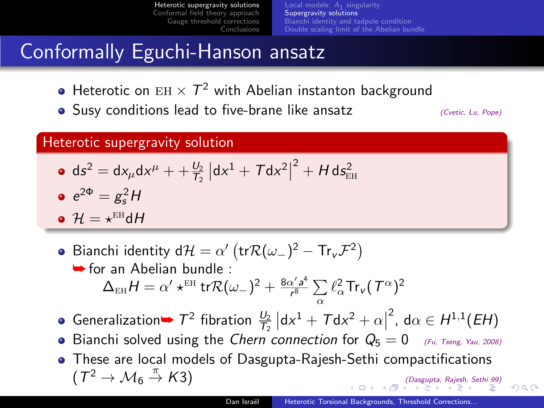[Local models:](#page-6-0)  $A_1$  singularity [Supergravity solutions](#page-8-0) [Bianchi identity and tadpole condition](#page-10-0) [Double scaling limit of the Abelian bundle](#page-11-0)

### Conformally Eguchi-Hanson ansatz

- Heterotic on  $EH \times T^2$  with Abelian instanton background
- Susy conditions lead to five-brane like ansatz  $(Cvetic, Lu, Pope)$

<span id="page-8-0"></span> $\Omega$ 

#### Heterotic supergravity solution

 $ds^2 = dx_\mu dx^\mu + \frac{U_2}{T_2} |dx^1 + T dx^2|$  $^2 + H \, \mathsf{ds}_\text{\tiny EH}^2$ 

$$
e^{2\Phi}=g_s^2H
$$

$$
\bullet \ \mathcal{H} = \star^{\text{EH}} \mathsf{d} \mathsf{H}
$$

- Bianchi identity d $\mathcal{H} = \alpha' \left( \text{tr} \mathcal{R}(\omega_-)^2 \text{Tr}_{\nu} \mathcal{F}^2 \right)$ ➥ for an Abelian bundle :  $\Delta_{\text{\tiny EH}} H = \alpha' \star^{\text{\tiny EH}} \text{\rm tr} \mathcal{R}(\omega_-)^2 + \frac{8 \alpha' \textit{a}^4}{\textit{r}^8}$  $\frac{\chi' a^2}{r^8} \sum$  $\sum_{\alpha} \ell_{\alpha}^2 \mathsf{Tr}_\mathsf{v}(\mathcal{T}^\alpha)^2$
- Generalization  $\rightarrow$   $T^2$  fibration  $\frac{U_2}{T_2}$   $\left| dx^1 + T dx^2 + \alpha \right|$  $^2$ , d $\alpha \in H^{1,1}(EH)$
- Bianchi solved using the Chern connection for  $Q_5 = 0$  (Fu, Tseng, Yau, 2008)
- These are local models of Dasgupta-Rajesh-Sethi compactifications  $(7^2 \rightarrow \mathcal{M}_6)$  $(Dasgupta, Rajesh, Sethi 99)$  $(Dasgupta, Rajesh, Sethi 99)$  $(Dasgupta, Rajesh, Sethi 99)$  $(Dasgupta, Rajesh, Sethi 99)$  $(Dasgupta, Rajesh, Sethi 99)$  $(Dasgupta, Rajesh, Sethi 99)$  $(Dasgupta, Rajesh, Sethi 99)$  $(Dasgupta, Rajesh, Sethi 99)$  $(Dasgupta, Rajesh, Sethi 99)$  $(Dasgupta, Rajesh, Sethi 99)$  $(Dasgupta, Rajesh, Sethi 99)$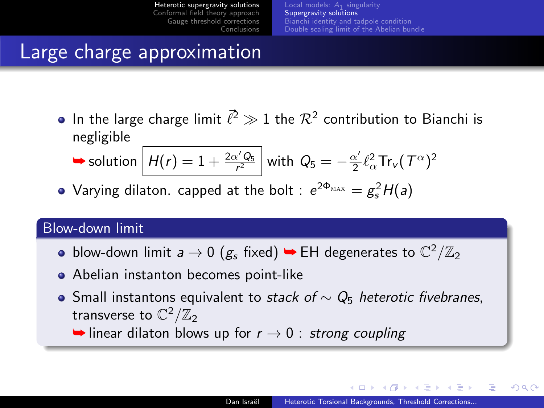[Local models:](#page-6-0)  $A_1$  singularity [Supergravity solutions](#page-8-0) [Bianchi identity and tadpole condition](#page-10-0) [Double scaling limit of the Abelian bundle](#page-11-0)

### Large charge approximation

In the large charge limit  $\vec{\ell}^2 \gg 1$  the  $\mathcal{R}^2$  contribution to Bianchi is negligible

$$
\blacktriangleright \text{ solution} \left[ H(r) = 1 + \frac{2\alpha' Q_5}{r^2} \right] \text{ with } Q_5 = -\frac{\alpha'}{2} \ell_\alpha^2 \text{Tr}_V(T^\alpha)^2
$$

Varying dilaton. capped at the bolt :  $e^{2\Phi_{\text{MAX}}} = g_s^2 H(a)$ 

#### Blow-down limit

- blow-down limit  $a \to 0$   $(g_s \text{ fixed}) \rightarrow \text{EH}$  degenerates to  $\mathbb{C}^2/\mathbb{Z}_2$
- Abelian instanton becomes point-like
- Small instantons equivalent to stack of  $\sim Q_5$  heterotic fivebranes, transverse to  $\mathbb{C}^2/\mathbb{Z}_2$

 $\rightarrow$  linear dilaton blows up for  $r \rightarrow 0$  : strong coupling

<span id="page-9-0"></span>イロト イ押 トラ ミュ アト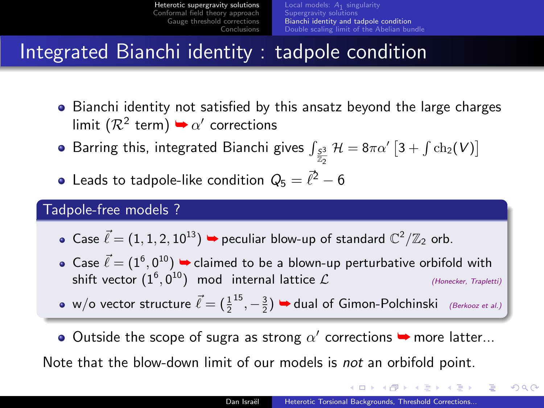[Local models:](#page-6-0)  $A_1$  singularity [Supergravity solutions](#page-8-0) [Bianchi identity and tadpole condition](#page-10-0) [Double scaling limit of the Abelian bundle](#page-11-0)

### Integrated Bianchi identity : tadpole condition

- Bianchi identity not satisfied by this ansatz beyond the large charges limit  $(\mathcal{R}^2 \text{ term}) \rightarrow \alpha'$  corrections
- Barring this, integrated Bianchi gives  $\int_{\frac{S3}{Z_2}} \mathcal{H} = 8\pi\alpha' \left[ 3 + \int \text{ch}_2(V) \right]$
- Leads to tadpole-like condition  $Q_5 = \bar{\ell}^2 6$

#### Tadpole-free models ?

- Case  $\vec{\ell} = (1, 1, 2, 10^{13}) \rightarrow$  peculiar blow-up of standard  $\mathbb{C}^2/\mathbb{Z}_2$  orb.
- Case  $\vec{\ell} = (1^6, 0^{10}) \blacktriangleright$  claimed to be a blown-up perturbative orbifold with shift vector  $(1^6, 0^{10})$  mod internal lattice  $\mathcal L$  (Honecker, Trapletti)
- w/o vector structure  $\vec{\ell} = (\frac{1}{2}$ <sup>15</sup>,  $-\frac{3}{2}$ )  $\rightarrow$  dual of Gimon-Polchinski (Berkooz et al.)
- Outside the scope of sugra as strong  $\alpha'$  corrections  $\rightarrow$  more latter...

Note that the blow-down limit of our models is not an orbifold point.

イロメ イ押メ イヨメ イヨメー

<span id="page-10-0"></span> $\equiv$   $\Omega$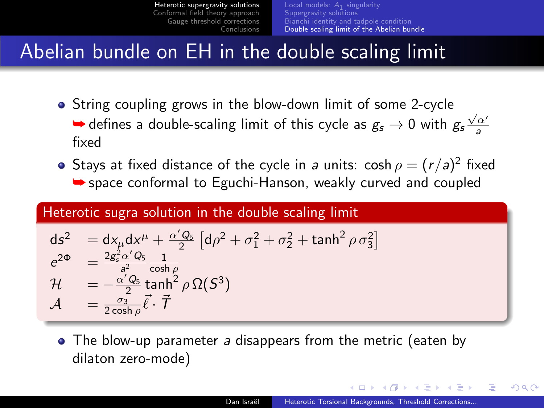## Abelian bundle on EH in the double scaling limit

- String coupling grows in the blow-down limit of some 2-cycle  $\rightarrow$  defines a double-scaling limit of this cycle as  $g_s \rightarrow 0$  with  $g_s \frac{\sqrt{\alpha'}}{a}$ fixed
- Stays at fixed distance of the cycle in a units:  $\cosh \rho = (r/a)^2$  fixed  $\rightarrow$  space conformal to Eguchi-Hanson, weakly curved and coupled

#### Heterotic sugra solution in the double scaling limit

$$
ds^{2} = dx_{\mu}dx^{\mu} + \frac{\alpha'Q_{5}}{2} [d\rho^{2} + \sigma_{1}^{2} + \sigma_{2}^{2} + \tanh^{2}\rho \sigma_{3}^{2}]
$$
  
\n
$$
e^{2\Phi} = \frac{2g_{s}^{2}\alpha'Q_{5}}{a^{2}} \frac{1}{\cosh\rho}
$$
  
\n
$$
\mathcal{H} = -\frac{\alpha'Q_{5}}{2}\tanh^{2}\rho \Omega(S^{3})
$$
  
\n
$$
\mathcal{A} = \frac{\sigma_{3}}{2\cosh\rho}\vec{\ell}\cdot\vec{\mathcal{T}}
$$

<span id="page-11-0"></span>• The blow-up parameter a disappears from the metric (eaten by dilaton zero-mode)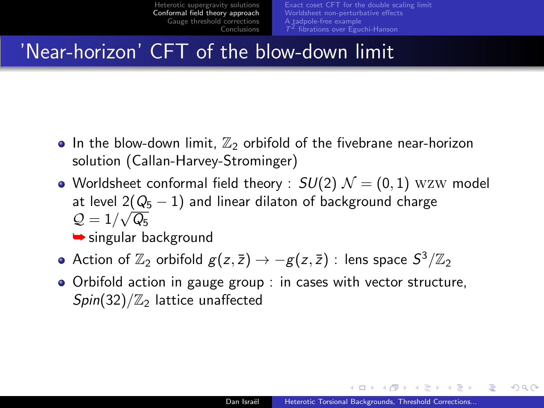[Exact coset CFT for the double scaling limit](#page-13-0) [Worldsheet non-perturbative effects](#page-14-0) [A tadpole-free example](#page-15-0)

### 'Near-horizon' CFT of the blow-down limit

- In the blow-down limit,  $\mathbb{Z}_2$  orbifold of the fivebrane near-horizon solution (Callan-Harvey-Strominger)
- Worldsheet conformal field theory :  $SU(2)$   $\mathcal{N} = (0, 1)$  wzw model at level 2( $Q_5 - 1$ ) and linear dilaton of background charge  $\mathcal{Q}=1/\sqrt{\mathcal{Q}_5}$

**►** singular background

- Action of  $\mathbb{Z}_2$  orbifold  $g(z,\bar{z})\to -g(z,\bar{z})$  : lens space  $S^3/\mathbb{Z}_2$
- Orbifold action in gauge group : in cases with vector structure,  $Spin(32)/\mathbb{Z}_2$  lattice unaffected

**REVIEW** 

后

<span id="page-12-0"></span> $QQ$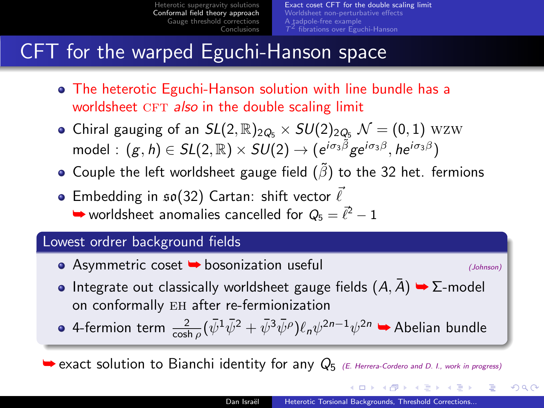[Exact coset CFT for the double scaling limit](#page-13-0) [Worldsheet non-perturbative effects](#page-14-0) [A tadpole-free example](#page-15-0)

# CFT for the warped Eguchi-Hanson space

- The heterotic Eguchi-Hanson solution with line bundle has a worldsheet CFT also in the double scaling limit
- Chiral gauging of an  $SL(2,\mathbb{R})_{2Q_5}\times SU(2)_{2Q_5}$   $\mathcal{N}=(0,1)$  wzw  $\textsf{model}:\,(g,h)\in SL(2,\mathbb{R})\times SU(2)\rightarrow (e^{i\sigma_3\tilde{\beta}}ge^{i\sigma_3\beta},he^{i\sigma_3\beta})$
- Couple the left worldsheet gauge field  $(\tilde{\beta})$  to the 32 het. fermions
- **Embedding in**  $\mathfrak{so}(32)$  **Cartan: shift vector**  $\bar{\ell}$  $\rightarrow$  worldsheet anomalies cancelled for  $Q_5 = \vec{\ell}^2 - 1$

#### Lowest ordrer background fields

 $\bullet$  Asymmetric coset  $\bullet$  bosonization useful  $\bullet$  (Johnson)

<span id="page-13-0"></span>

KED KARD KED KED E VOQO

- Integrate out classically worldsheet gauge fields  $(A, \overline{A}) \rightarrow \Sigma$ -model on conformally EH after re-fermionization
- 4-fermion term  $\frac{2}{\cosh\rho}(\bar{\psi}^1\bar{\psi}^2+\bar{\psi}^3\bar{\psi}^\rho)\ell_n\psi^{2n-1}\psi^{2n}$   $\blacktriangleright$  Abelian bundle

 $\rightarrow$  exact solution to Bianchi identity for any  $Q_{5}$  (E. Herrera-Cordero and D. I., work in progress)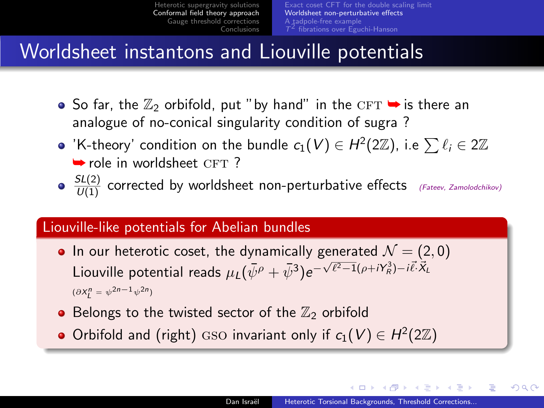### Worldsheet instantons and Liouville potentials

- $\bullet$  So far, the  $\mathbb{Z}_2$  orbifold, put "by hand" in the CFT  $\bullet$  is there an analogue of no-conical singularity condition of sugra ?
- 'K-theory' condition on the bundle  $c_1(V)\in H^2(2\mathbb{Z})$ , i.e  $\sum \ell_i\in 2\mathbb{Z}$  $\rightarrow$  role in worldsheet CFT ?
- $\frac{SL(2)}{U(1)}$  corrected by worldsheet non-perturbative effects (Fateev, Zamolodchikov)

### Liouville-like potentials for Abelian bundles

- In our heterotic coset, the dynamically generated  $\mathcal{N} = (2, 0)$ Liouville potential reads  $\mu_L(\bar{\psi}^{\rho} + \bar{\psi}^3)e^{-\sqrt{\ell^2-1}(\rho+iY_R^3)-i\bar{\ell}^3\bar{X}_L^3}$  $(\partial X_L^n = \psi^{2n-1}\psi^{2n})$
- Belongs to the twisted sector of the  $\mathbb{Z}_2$  orbifold
- Orbifold and (right) GSO invariant only if  $c_1(V) \in H^2(2\mathbb{Z})$

<span id="page-14-0"></span>マーティ ミュレーション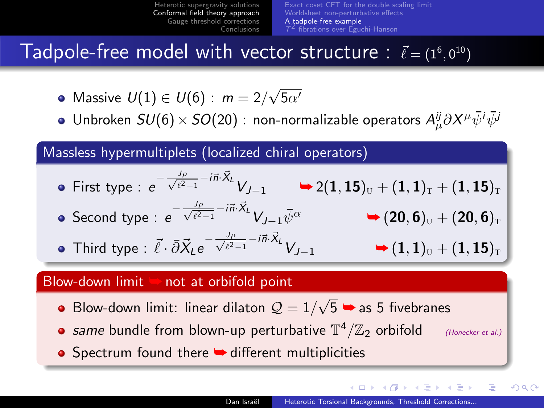[Exact coset CFT for the double scaling limit](#page-13-0) [Worldsheet non-perturbative effects](#page-14-0) [A tadpole-free example](#page-15-0)

Tadpole-free model with vector structure :  $\vec{\ell} = (1^6, 0^{10})$ 

- Massive  $U(1) \in U(6)$  :  $m = 2/3$  $\sqrt{5\alpha'}$
- Unbroken  $SU(6)\times SO(20)$  : non-normalizable operators  $A^{\vec{\jmath}}_{\mu}\partial X^{\mu}\bar{\psi}^{i}\bar{\psi}^{j}$

Massless hypermultiplets (localized chiral operators)

• First type : 
$$
e^{-\frac{J_p}{\sqrt{\ell^2-1}} - i\vec{n}\cdot\vec{X}_L}V_{J-1}
$$
  
\n• Second type :  $e^{-\frac{J_p}{\sqrt{\ell^2-1}} - i\vec{n}\cdot\vec{X}_L}V_{J-1}\bar{\psi}^{\alpha}$   
\n• (20, 6)<sub>U</sub> + (20, 6)<sub>T</sub>  
\n7.11.10  $\vec{r} = \vec{S}\vec{S} - \frac{J_p}{\sqrt{\ell^2-1}} - i\vec{n}\cdot\vec{X}_L V_{J-1}\bar{\psi}^{\alpha}$   
\n• (4, 1)  $\vec{r} = (4, 1) + (4, 15)$ 

$$
\bullet \ \ \text{Third type} : \ \vec{\ell} \cdot \bar{\partial} \vec{X}_L e^{-\frac{J_\rho}{\sqrt{\ell^2-1}} - i \vec{n} \cdot \vec{X}_L} V_{J-1} \longrightarrow (1,1)_\text{U} + (1,15)_\text{T}
$$

#### Blow-down limit  $\triangleright$  not at orbifold point

- Blow-down limit: linear dilaton  $\mathcal{Q}=1/2$  $\sqrt{5}$   $\rightarrow$  as 5 fivebranes
- same bundle from blown-up perturbative  $\mathbb{T}^4/\mathbb{Z}_2$  orbifold (Honecker et al.)

重

<span id="page-15-0"></span> $\Omega$ 

**ALC: N** 

● Spectrum found there ➡ different multiplicities

 $\mathcal{A}$  and  $\mathcal{A}$  in  $\mathcal{A}$  . The  $\mathcal{A}$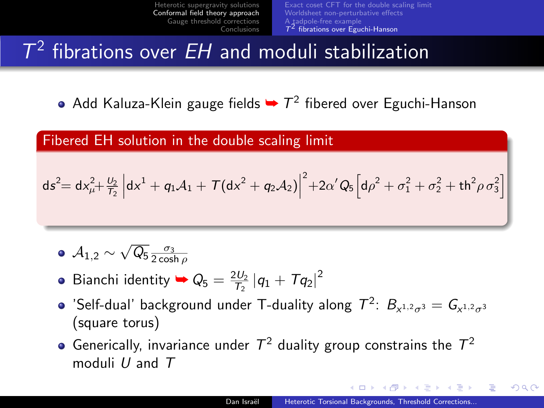[Exact coset CFT for the double scaling limit](#page-13-0) [Worldsheet non-perturbative effects](#page-14-0) [A tadpole-free example](#page-15-0)  $T<sup>2</sup>$  [fibrations over Eguchi-Hanson](#page-16-0)

# $T^2$  fibrations over *EH* and moduli stabilization

Add Kaluza-Klein gauge fields  $\rightarrow$   $T^2$  fibered over Eguchi-Hanson

#### Fibered EH solution in the double scaling limit

$$
ds^{2} = dx_{\mu}^{2} + \frac{U_{2}}{T_{2}} \left[ dx^{1} + q_{1}A_{1} + T(dx^{2} + q_{2}A_{2}) \right]^{2} + 2\alpha'Q_{5} \left[ d\rho^{2} + \sigma_{1}^{2} + \sigma_{2}^{2} + th^{2}\rho \sigma_{3}^{2} \right]
$$

- $A_{1,2} \sim \sqrt{\mathsf{Q}_{5}} \frac{\sigma_3}{2\cosh\rho}$
- Bianchi identity  $\blacktriangleright Q_5 = \frac{2U_2}{T_2} |q_1 + Tq_2|^2$
- 'Self-dual' background under T-duality along  $T^2$ :  $B_{x^{1,2}\sigma^3} = G_{x^{1,2}\sigma^3}$ (square torus)
- Generically, invariance under  $T^2$  duality group constrains the  $T^2$ moduli  $U$  and  $T$

<span id="page-16-0"></span> $\langle \langle \bigcap \mathbb{R} \rangle \rangle$   $\langle \bigcap \mathbb{R} \rangle$   $\langle \bigcap \mathbb{R} \rangle$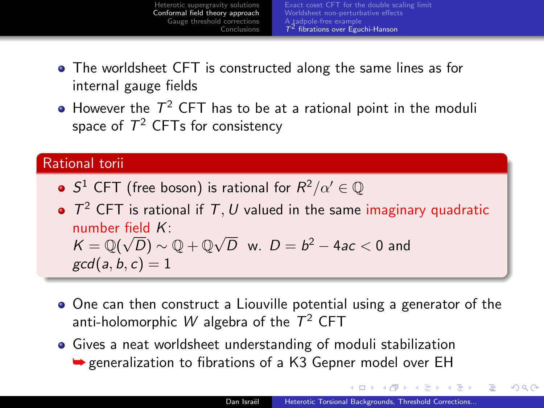

- The worldsheet CFT is constructed along the same lines as for internal gauge fields
- However the  $\mathcal{T}^2$  CFT has to be at a rational point in the moduli space of  $\mathcal{T}^2$  CFTs for consistency

#### Rational torii

- S<sup>1</sup> CFT (free boson) is rational for  $R^2/\alpha' \in \mathbb{Q}$
- $T^2$  CFT is rational if T, U valued in the same imaginary quadratic number field  $K$ :  $\mathsf{numper}$  neighthand in the set of  $\mathsf{K} = \mathbb{Q}(\sqrt{D}) \sim \mathbb{Q} + \mathbb{Q}\sqrt{D}$  $\overline{D}$  w.  $D=b^2-4ac< 0$  and  $gcd(a, b, c) = 1$
- One can then construct a Liouville potential using a generator of the anti-holomorphic  $W$  algebra of the  $T^2$  CFT
- Gives a neat worldsheet understanding of moduli stabilization **► generalization to fibrations of a K3 Gepner model over EH**

<span id="page-17-0"></span>しょ 何 メース チェース チェ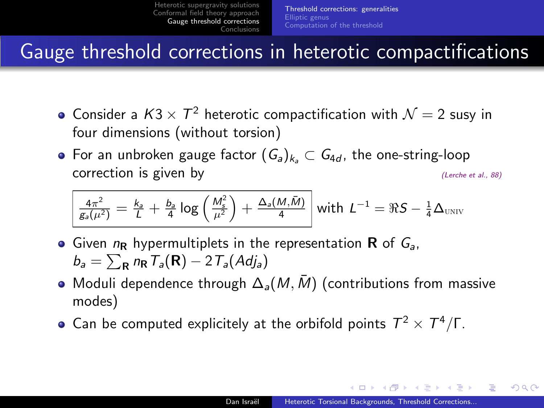### Gauge threshold corrections in heterotic compactifications

- Consider a  $K3\times T^2$  heterotic compactification with  $\mathcal{N}=2$  susy in four dimensions (without torsion)
- For an unbroken gauge factor  $(G_a)_{k_1} \subset G_{4d}$ , the one-string-loop correction is given by (Lerche et al., 88)

$$
\frac{4\pi^2}{g_a(\mu^2)} = \frac{k_a}{L} + \frac{b_a}{4} \log\left(\frac{M_s^2}{\mu^2}\right) + \frac{\Delta_a(M,\bar{M})}{4} \text{ with } L^{-1} = \Re S - \frac{1}{4}\Delta_{\text{UNIV}}
$$

- **Given**  $n_R$  **hypermultiplets in the representation R of**  $G_a$ **.**  $b_a = \sum_{\mathbf{R}} n_{\mathbf{R}} T_a(\mathbf{R}) - 2 T_a(Adj_a)$
- Moduli dependence through  $\Delta_{a}(M, \bar{M})$  (contributions from massive modes)
- Can be computed explicitely at the orbifold points  $T^2 \times T^4/\Gamma$ .

<span id="page-18-0"></span>- イター・ステート イラー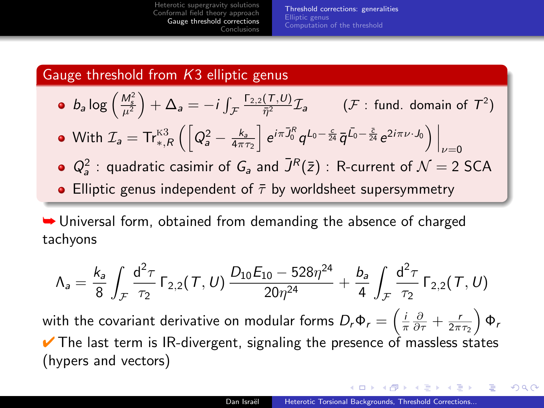<span id="page-19-0"></span>[Threshold corrections: generalities](#page-18-0) [Elliptic genus](#page-21-0) [Computation of the threshold](#page-24-0)

#### Gauge threshold from K3 elliptic genus

• 
$$
b_a \log \left(\frac{M_s^2}{\mu^2}\right) + \Delta_a = -i \int_{\mathcal{F}} \frac{\Gamma_{2,2}(\tau, U)}{\bar{\eta}^2} \mathcal{I}_a
$$
  $(\mathcal{F} : \text{ fund. domain of } \mathcal{T}^2)$ 

• With 
$$
\mathcal{I}_a = \text{Tr}_{*,R}^{\text{K3}} \left( \left[ Q_a^2 - \frac{k_a}{4\pi\tau_2} \right] e^{i\pi \bar{J}_0^R} q^{L_0 - \frac{c}{24}} \bar{q}^{\bar{L}_0 - \frac{\bar{c}}{24}} e^{2i\pi\nu \cdot J_0} \right) \Big|_{\nu=0}
$$

- $Q_a^2$ : quadratic casimir of  $G_a$  and  $\bar{J}^R(\bar{z})$ : R-current of  $\mathcal{N}=2$  SCA
- Elliptic genus independent of  $\bar{\tau}$  by worldsheet supersymmetry

➥ Universal form, obtained from demanding the absence of charged tachyons

$$
\Lambda_a = \frac{k_a}{8}\int_{\mathcal{F}}\frac{d^2\tau}{\tau_2}\,\Gamma_{2,2}(\mathcal{T},U)\,\frac{D_{10}E_{10}-528\eta^{24}}{20\eta^{24}}+\frac{b_a}{4}\int_{\mathcal{F}}\frac{d^2\tau}{\tau_2}\,\Gamma_{2,2}(\mathcal{T},U)
$$

with the covariant derivative on modular forms  $D_r\Phi_r=\left(\frac{i}{\pi}\frac{\partial}{\partial\tau}+\frac{r}{2\pi\tau_2}\right)\Phi_r$  $\vee$  The last term is IR-divergent, signaling the presence of massless states (hypers and vectors)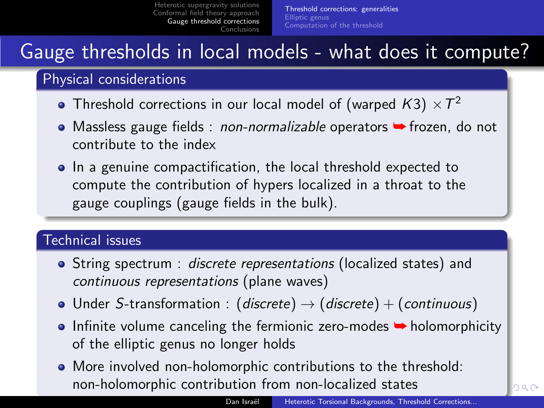[Threshold corrections: generalities](#page-18-0) [Elliptic genus](#page-21-0) [Computation of the threshold](#page-24-0)

### Gauge thresholds in local models - what does it compute?

### Physical considerations

- Threshold corrections in our local model of (warped  $\mathcal{K}3)\times \mathcal{T}^2$
- Massless gauge fields : *non-normalizable* operators → frozen, do not contribute to the index
- In a genuine compactification, the local threshold expected to compute the contribution of hypers localized in a throat to the gauge couplings (gauge fields in the bulk).

### Technical issues

- String spectrum : discrete representations (localized states) and continuous representations (plane waves)
- Under S-transformation : (discrete)  $\rightarrow$  (discrete) + (continuous)
- $\bullet$  Infinite volume canceling the fermionic zero-modes  $\bullet$  holomorphicity of the elliptic genus no longer holds
- <span id="page-20-0"></span>More involved non-holomorphic contributions to the threshold: non-holomorphic contribution from non-loc[aliz](#page-19-0)[ed](#page-21-0) [s](#page-19-0)[ta](#page-20-0)[te](#page-21-0)[s](#page-17-0)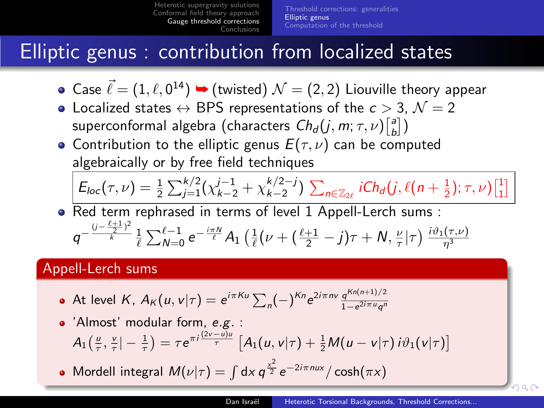[Threshold corrections: generalities](#page-18-0) [Elliptic genus](#page-21-0) [Computation of the threshold](#page-24-0)

## Elliptic genus : contribution from localized states

- Case  $\vec{\ell} = (1, \ell, 0^{14}) \blacktriangleright (\text{twisted})~\mathcal{N} = (2, 2)$  Liouville theory appear
- Localized states  $\leftrightarrow$  BPS representations of the  $c > 3$ ,  $\mathcal{N} = 2$ superconformal algebra (characters  $\mathcal{C}h_d(j,m;\tau,\nu){\bigl[\begin{smallmatrix}a\cr b\end{smallmatrix}\bigr]}\bigr)$
- Contribution to the elliptic genus  $E(\tau, \nu)$  can be computed algebraically or by free field techniques

$$
E_{loc}(\tau,\nu) = \frac{1}{2} \sum_{j=1}^{k/2} (\chi_{k-2}^{j-1} + \chi_{k-2}^{k/2-j}) \sum_{n \in \mathbb{Z}_{2\ell}} iCh_d(j,\ell(n+\frac{1}{2});\tau,\nu) \begin{bmatrix} 1 \\ 1 \end{bmatrix}
$$

• Red term rephrased in terms of level 1 Appell-Lerch sums :  $q^{-\frac{(j-\frac{\ell+1}{2})^2}{k}}$  $\frac{\frac{2}{\ell}-1}{\frac{2}{\ell}}\frac{1}{\sum_{\nu=0}^{\ell-1}e^{-\frac{i\pi N}{\ell}}A_{1}\left(\frac{1}{\ell}(\nu+(\frac{\ell+1}{2}-j)\tau+N,\frac{\nu}{\tau}|\tau\right)\frac{i\vartheta_{1}(\tau,\nu)}{\eta^{3}}$ 

### Appell-Lerch sums

At level  $K$ ,  $A_K(u,v|\tau) = e^{i\pi K u} \sum_n (-)^{Kn} e^{2i\pi n v} \frac{q^{Kn(n+1)/2}}{1-e^{2i\pi u}q^n}$  $1-e^{2i\pi u}q^n$ 

• 'Almost' modular form, e.g. :  
\n
$$
A_1\left(\frac{u}{\tau}, \frac{v}{\tau}\right) - \frac{1}{\tau} = \tau e^{\pi i \frac{(2v-u)u}{\tau}} \left[ A_1(u, v|\tau) + \frac{1}{2} M(u - v|\tau) i \vartheta_1(v|\tau) \right]
$$

Mordell integral  $M(\nu|\tau) = \int dx \, q^{\frac{x^2}{2}} e^{-2i\pi nux} / \cosh(\pi x)$ 

<span id="page-21-0"></span> $\alpha$   $\alpha$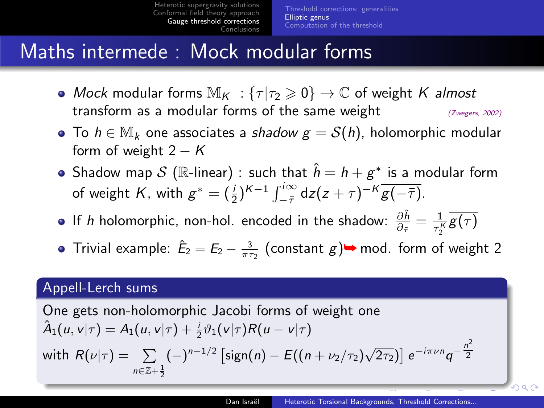[Threshold corrections: generalities](#page-18-0) [Elliptic genus](#page-21-0) [Computation of the threshold](#page-24-0)

### Maths intermede : Mock modular forms

- Mock modular forms  $\mathbb{M}_K : \{\tau | \tau_2 \geqslant 0\} \to \mathbb{C}$  of weight K almost transform as a modular forms of the same weight  $(Zw_{egers}, 2002)$
- To  $h \in M_k$  one associates a shadow  $g = S(h)$ , holomorphic modular form of weight  $2 - K$
- Shadow map  $\mathcal S$  ( $\mathbb R$ -linear)  $:$  such that  $\hat h = h + g^*$  is a modular form of weight K, with  $g^* = (\frac{i}{2})^{K-1} \int_{-\bar{\tau}}^{i\infty} dz (z+\tau)^{-K} \overline{g(-\bar{\tau})}$ .
- If h holomorphic, non-hol. encoded in the shadow:  $\frac{\partial \hat{h}}{\partial_{\tilde{\tau}}} = \frac{1}{\tau_2^K} \overline{g(\tau)}$
- Trivial example:  $\hat{E}_2 = E_2 \frac{3}{\pi \tau_2}$  (constant  $g$ ) $\rightarrow$  mod. form of weight 2

#### Appell-Lerch sums

One gets non-holomorphic Jacobi forms of weight one  $\hat{A}_1(u,v|\tau) = A_1(u,v|\tau) + \frac{i}{2}\vartheta_1(v|\tau)R(u-v|\tau)$ with  $R(\nu|\tau) = \sum_{n=1}^{\infty} (-1)^{n-1/2} \left[ sign(n) - E((n+\nu_2/\tau_2)\sqrt{2\tau_2}) \right] e^{-i\pi\nu n} q^{-\frac{n^2}{2}}$  $n \in \mathbb{Z} + \frac{1}{2}$ 2

 $\cap$  a  $\cap$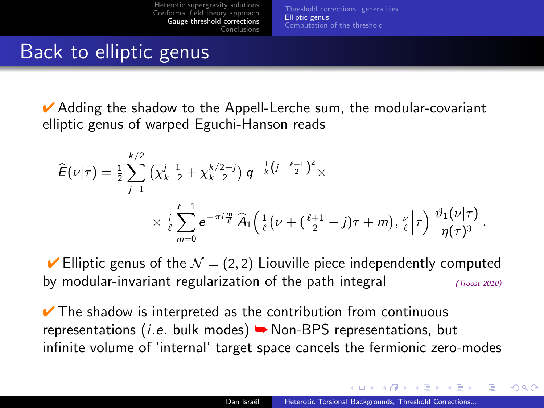<span id="page-23-0"></span>[Threshold corrections: generalities](#page-18-0) [Elliptic genus](#page-21-0) [Computation of the threshold](#page-24-0)

### Back to elliptic genus

 $\vee$  Adding the shadow to the Appell-Lerche sum, the modular-covariant elliptic genus of warped Eguchi-Hanson reads

$$
\widehat{E}(\nu|\tau) = \frac{1}{2} \sum_{j=1}^{k/2} \left( \chi_{k-2}^{j-1} + \chi_{k-2}^{k/2-j} \right) q^{-\frac{1}{k} \left( j - \frac{\ell+1}{2} \right)^2} \times \\ \times \frac{i}{\ell} \sum_{m=0}^{\ell-1} e^{-\pi i \frac{m}{\ell}} \widehat{A}_1 \left( \frac{1}{\ell} \left( \nu + \left( \frac{\ell+1}{2} - j \right) \tau + m \right), \frac{\nu}{\ell} \right| \tau \right) \frac{\vartheta_1(\nu|\tau)}{\eta(\tau)^3}.
$$

 $\blacktriangleright$  Elliptic genus of the  $\mathcal{N} = (2, 2)$  Liouville piece independently computed by modular-invariant regularization of the path integral  $(T_{\text{roots}} 2010)$ 

 $\vee$  The shadow is interpreted as the contribution from continuous representations (*i.e.* bulk modes)  $\rightarrow$  Non-BPS representations, but infinite volume of 'internal' target space cancels the fermionic zero-modes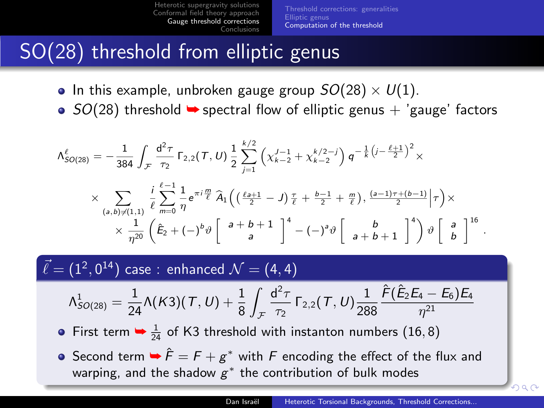[Threshold corrections: generalities](#page-18-0) [Elliptic genus](#page-21-0) [Computation of the threshold](#page-24-0)

# SO(28) threshold from elliptic genus

- In this example, unbroken gauge group  $SO(28) \times U(1)$ .
- $\bullet$  SO(28) threshold  $\bullet$  spectral flow of elliptic genus + 'gauge' factors

$$
\Lambda_{SO(28)}^{\ell} = -\frac{1}{384} \int_{\mathcal{F}} \frac{d^2 \tau}{\tau_2} \Gamma_{2,2}(\tau, U) \frac{1}{2} \sum_{j=1}^{k/2} \left( \chi_{k-2}^{J-1} + \chi_{k-2}^{k/2-j} \right) q^{-\frac{1}{k} \left( j - \frac{\ell+1}{2} \right)^2} \times \times \sum_{\substack{(a,b) \neq (1,1)}} \frac{i}{\ell} \sum_{m=0}^{\ell-1} \frac{1}{\eta} e^{\pi i \frac{m}{\ell}} \widehat{A}_1 \left( \left( \frac{\ell+1}{2} - J \right) \frac{\tau}{\ell} + \frac{b-1}{2} + \frac{m}{\ell} \right), \frac{(a-1)\tau + (b-1)}{2} \Big| \tau \right) \times \times \frac{1}{\eta^{20}} \left( \tilde{E}_2 + (-)^b \vartheta \begin{bmatrix} a+b+1 \\ a \end{bmatrix}^4 - (-)^a \vartheta \begin{bmatrix} b \\ a+b+1 \end{bmatrix}^4 \right) \vartheta \begin{bmatrix} a \\ b \end{bmatrix}^{16}.
$$

 $\vec{\ell} = (1^2, 0^{14})$  case : enhanced  $\mathcal{N} = (4, 4)$ 

$$
\Lambda^1_{SO(28)}=\frac{1}{24}\Lambda(\mathit{K3})(\mathit{T},\mathit{U})+\frac{1}{8}\int_{\mathcal{F}}\frac{d^2\tau}{\tau_2}\,\Gamma_{2,2}(\mathit{T},\mathit{U})\frac{1}{288}\frac{\hat{F}(\hat{E}_2E_4-E_6)E_4}{\eta^{21}}
$$

- First term  $\rightarrow \frac{1}{24}$  of K3 threshold with instanton numbers (16,8)
- <span id="page-24-0"></span>Second term  $\blacktriangleright \hat{F} = F + g^*$  with  $F$  encoding the effect of the flux and warping, and the shadow  $g^*$  the contribution of bulk modes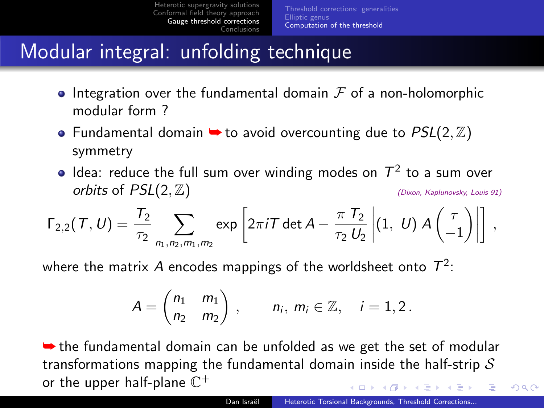# Modular integral: unfolding technique

- Integration over the fundamental domain  $\mathcal F$  of a non-holomorphic modular form ?
- Fundamental domain  $\rightarrow$  to avoid overcounting due to  $PSL(2, \mathbb{Z})$ symmetry
- Idea: reduce the full sum over winding modes on  $\mathcal{T}^2$  to a sum over  $orbits$  of  $PSL(2, \mathbb{Z})$  (Dixon, Kaplunovsky, Louis 91)

$$
\Gamma_{2,2}(\mathcal{T}, U) = \frac{T_2}{\tau_2} \sum_{n_1, n_2, m_1, m_2} \exp \left[ 2\pi i \mathcal{T} \det A - \frac{\pi \, T_2}{\tau_2 \, U_2} \left| (1, \ U) \, A \begin{pmatrix} \tau \\ -1 \end{pmatrix} \right| \right] \,,
$$

where the matrix  $A$  encodes mappings of the worldsheet onto  $\, T^2 \,$ :

$$
A = \begin{pmatrix} n_1 & m_1 \\ n_2 & n_2 \end{pmatrix} \,, \qquad n_i, \, m_i \in \mathbb{Z}, \quad i = 1, 2 \,.
$$

 $\rightarrow$  the fundamental domain can be unfolded as we get the set of modular transformations mapping the fundamental domain inside the half-strip  $S$ or the upper half-plane  $\overline{\mathbb{C}}^+$ 4 m k  $\overline{AB}$ **A BAY A BA**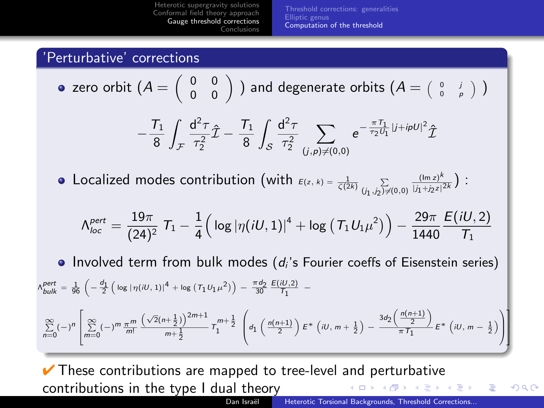[Threshold corrections: generalities](#page-18-0) [Elliptic genus](#page-21-0) [Computation of the threshold](#page-24-0)

### 'Perturbative' corrections

• zero orbit 
$$
(A = \begin{pmatrix} 0 & 0 \\ 0 & 0 \end{pmatrix}
$$
) and degenerate orbits  $(A = \begin{pmatrix} 0 & j \\ 0 & p \end{pmatrix})$ 

$$
-\frac{T_1}{8}\int_{\mathcal{F}}\frac{\text{d}^2\tau}{\tau_2^2}\hat{\mathcal{I}}-\frac{T_1}{8}\int_{\mathcal{S}}\frac{\text{d}^2\tau}{\tau_2^2}\sum_{(j,\rho)\neq (0,0)}e^{-\frac{\pi\,T_1}{\tau_2\tilde{U}_1}|j+ i\rho U|^2}\hat{\mathcal{I}}
$$

Localized modes contribution (with  $\varepsilon(z, k) = \frac{1}{\zeta(2k)} \sum\limits_{(j_1, j_2) \neq (0,0)}$  $(\text{Im } z)^k$  $\frac{(\ln z)^k}{|j_1+j_2z|^{2k}}$  ) :

$$
\Lambda_{loc}^{pert} = \frac{19\pi}{(24)^2} \; T_1 - \frac{1}{4} \Big( \log|\eta(iU,1)|^4 + \log\left(T_1 U_1 \mu^2\right) \Big) - \frac{29\pi}{1440} \frac{E(iU,2)}{T_1}
$$

• Involved term from bulk modes  $(d_i)$ 's Fourier coeffs of Eisenstein series)

$$
\begin{split} &\rho_{bulk}^{pert} = \frac{1}{96} \left( -\frac{\sigma_1}{2} \left( \log \left| \eta(iU,1) \right|^4 + \log \left( T_1 U_1 \mu^2 \right) \right) - \frac{\pi \phi_2}{30} \frac{E(iU,2)}{T_1} \right. \\ &\left. - \sum_{n=0}^{\infty} (-)^n \left[ \sum_{m=0}^{\infty} (-)^m \frac{\pi^m}{m!} \frac{\left( \sqrt{2} (n+\frac{1}{2}) \right)^{2m+1}}{m+\frac{1}{2}} \, T_1^{m+\frac{1}{2}} \, \left( d_1 \left( \frac{n(n+1)}{2} \right) E^* \left( iU, m+\frac{1}{2} \right) - \frac{3 d_2 \left( \frac{n(n+1)}{2} \right)}{\pi T_1} E^* \left( iU, m-\frac{1}{2} \right) \right) \right] \end{split}
$$

 $\vee$  These contributions are mapped to tree-level and perturbative contributions in the type I dual theory a mills 化重新 化重新

Dan Israël [Heterotic Torsional Backgrounds, Threshold Corrections...](#page-0-0)

<span id="page-26-0"></span> $2990$ 

目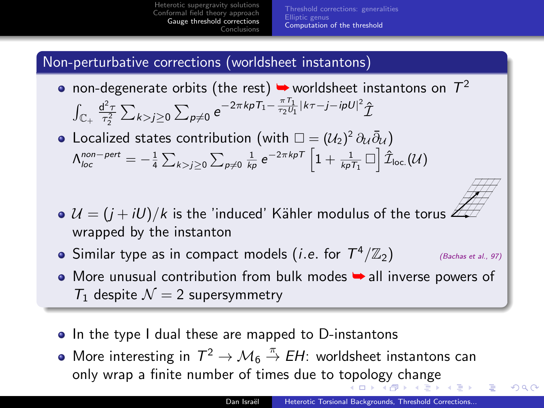[Threshold corrections: generalities](#page-18-0) [Elliptic genus](#page-21-0) [Computation of the threshold](#page-24-0)

#### Non-perturbative corrections (worldsheet instantons)

- non-degenerate orbits (the rest)  $\blacktriangleright$  worldsheet instantons on  $\mathcal{T}^2$  $\int_{\mathbb{C}_+} \frac{d^2 \tau}{\tau_2^2} \sum_{k>j\geq 0} \sum_{p\neq 0} e^{-2\pi k p T_1 - \frac{\pi T_1}{\tau_2 U_1} |k\tau - j - i p U|^2} \hat{\mathcal{I}}$
- Localized states contribution (with  $\square=(\mathcal{U}_2)^2\,\partial_{\mathcal{U}}\bar{\partial}_{\mathcal{U}}$ )  $\Lambda_{loc}^{non-pert}=-\frac{1}{4}\sum_{k>j\geq 0}\sum_{p\neq 0}\frac{1}{k p}\,{\rm e}^{-2\pi k pT}\left[1+\frac{1}{k p T_1}\,\Box\right]\hat{\mathcal{I}}_{\rm loc.}(\mathcal{U})$
- $U = (i + iU)/k$  is the 'induced' Kähler modulus of the torus  $\mathbb{Z}_k$ wrapped by the instanton
- Similar type as in compact models (*i.e.* for  $T^4/\mathbb{Z}_2$ ) <sup>4</sup>/Z2) (Bachas et al., 97)
- More unusual contribution from bulk modes → all inverse powers of  $T_1$  despite  $\mathcal{N} = 2$  supersymmetry
- In the type I dual these are mapped to D-instantons
- <span id="page-27-0"></span>More interesting in  $T^2 \to \mathcal{M}_6 \stackrel{\pi}{\to} EH$ : worldsheet instantons can only wrap a finite number of times due tot[op](#page-26-0)o[lo](#page-28-0)[g](#page-26-0)[y c](#page-27-0)[h](#page-28-0)[a](#page-23-0)[n](#page-24-0)[g](#page-27-0)[e](#page-28-0)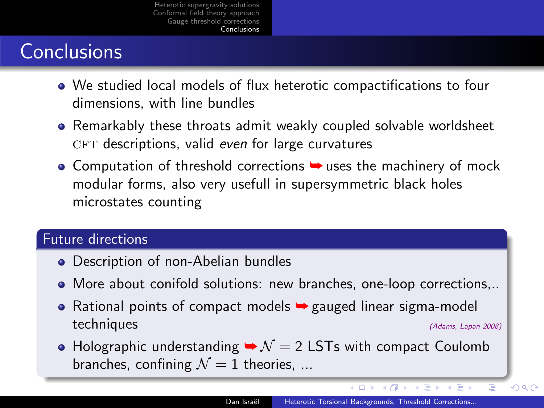# **Conclusions**

- We studied local models of flux heterotic compactifications to four dimensions, with line bundles
- Remarkably these throats admit weakly coupled solvable worldsheet  $CFT$  descriptions, valid even for large curvatures
- $\bullet$  Computation of threshold corrections  $\bullet$  uses the machinery of mock modular forms, also very usefull in supersymmetric black holes microstates counting

#### Future directions

- Description of non-Abelian bundles
- More about conifold solutions: new branches, one-loop corrections,..
- Rational points of compact models  $\rightarrow$  gauged linear sigma-model techniques (Adams, Lapan 2008)
- Holographic understanding  $\rightarrow \mathcal{N} = 2$  LSTs with compact Coulomb branches, confining  $\mathcal{N}=1$  theories, ...

4 何 ト

 $QQ$ 

<span id="page-28-0"></span>∍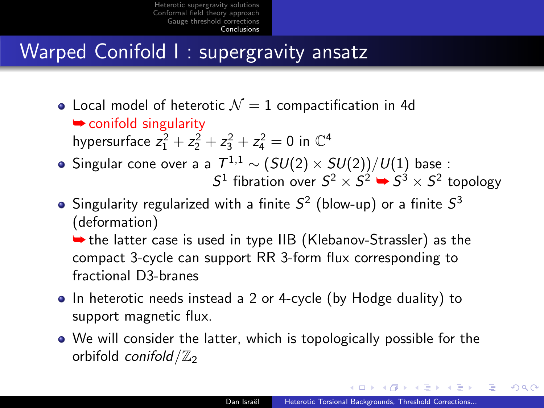# Warped Conifold I : supergravity ansatz

- Local model of heterotic  $\mathcal{N}=1$  compactification in 4d **►** conifold singularity hypersurface  $z_1^2 + z_2^2 + z_3^2 + z_4^2 = 0$  in  $\mathbb{C}^4$
- Singular cone over a a  $\mathcal{T}^{1,1}\sim \mathcal(SU(2)\times SU(2))/U(1)$  base :  $S^1$  fibration over  $S^2 \times S^2 \rightarrow S^3 \times S^2$  topology
- Singularity regularized with a finite  $S^2$  (blow-up) or a finite  $S^3$ (deformation)

➥ the latter case is used in type IIB (Klebanov-Strassler) as the compact 3-cycle can support RR 3-form flux corresponding to fractional D3-branes

- In heterotic needs instead a 2 or 4-cycle (by Hodge duality) to support magnetic flux.
- We will consider the latter, which is topologically possible for the orbifold conifold  $/\mathbb{Z}_2$

- イター・ステート イラー

 $QQ$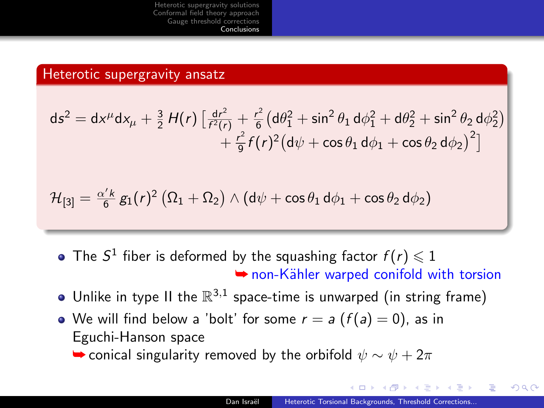#### Heterotic supergravity ansatz

$$
ds^{2} = dx^{\mu}dx_{\mu} + \frac{3}{2}H(r)\left[\frac{dr^{2}}{f^{2}(r)} + \frac{r^{2}}{6}(d\theta_{1}^{2} + \sin^{2}\theta_{1} d\phi_{1}^{2} + d\theta_{2}^{2} + \sin^{2}\theta_{2} d\phi_{2}^{2}) + \frac{r^{2}}{9}f(r)^{2}(d\psi + \cos\theta_{1} d\phi_{1} + \cos\theta_{2} d\phi_{2})^{2}\right]
$$

$$
\mathcal{H}_{[3]} = \tfrac{\alpha' k}{6} \, g_1(r)^2 \left( \Omega_1 + \Omega_2 \right) \wedge \left( \mathsf{d} \psi + \cos \theta_1 \, \mathsf{d} \phi_1 + \cos \theta_2 \, \mathsf{d} \phi_2 \right)
$$

- The  $S^1$  fiber is deformed by the squashing factor  $f(r) \leqslant 1$ **► non-Kähler warped conifold with torsion**
- Unlike in type II the  $\mathbb{R}^{3,1}$  space-time is unwarped (in string frame)
- We will find below a 'bolt' for some  $r = a$   $(f(a) = 0)$ , as in Eguchi-Hanson space

 $\rightarrow$  conical singularity removed by the orbifold  $\psi \sim \psi + 2\pi$ 

 $\mathcal{A}$   $\mathcal{A}$   $\mathcal{B}$   $\mathcal{A}$   $\mathcal{B}$   $\mathcal{B}$ 

重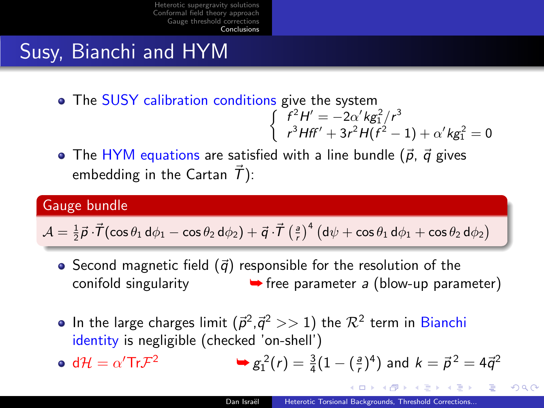# Susy, Bianchi and HYM

The SUSY calibration conditions give the system

$$
\begin{cases}\nf^2H' = -2\alpha' k g_1^2/r^3 \\
r^3Hf' + 3r^2H(f^2 - 1) + \alpha' k g_1^2 = 0\n\end{cases}
$$

• The HYM equations are satisfied with a line bundle  $(\vec{p}, \vec{q})$  gives embedding in the Cartan  $\vec{T}$ ):

### Gauge bundle

$$
\mathcal{A} = \tfrac{1}{2} \vec{p} \cdot \vec{T} (\cos \theta_1 \, \text{d} \phi_1 - \cos \theta_2 \, \text{d} \phi_2) + \vec{q} \cdot \vec{T} \left( \tfrac{a}{r} \right)^4 \left( \text{d} \psi + \cos \theta_1 \, \text{d} \phi_1 + \cos \theta_2 \, \text{d} \phi_2 \right)
$$

- Second magnetic field  $(\vec{q})$  responsible for the resolution of the conifold singularity  $\rightarrow$  free parameter a (blow-up parameter)
- In the large charges limit  $(\vec{p}^2, \vec{q}^2 >> 1)$  the  $\mathcal{R}^2$  term in Bianchi identity is negligible (checked 'on-shell')
- $d\mathcal{H} = \alpha'$ Tr $\mathcal{F}$ <sup>2</sup> ►  $g_1^2(r) = \frac{3}{4}(1 - (\frac{a}{r})^4)$  and  $k = \vec{p}^2 = 4\vec{q}^2$

イロト イ押ト イチト イチト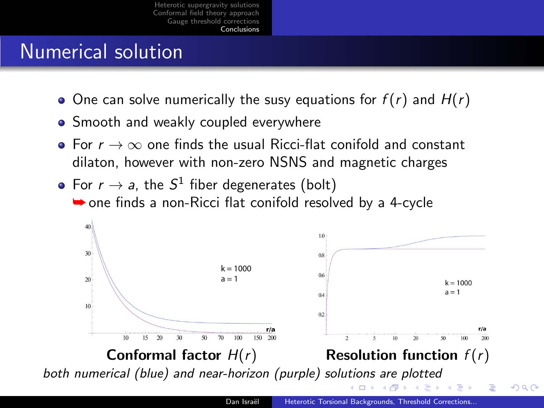# Numerical solution

- One can solve numerically the susy equations for  $f(r)$  and  $H(r)$
- **•** Smooth and weakly coupled everywhere
- For  $r \to \infty$  one finds the usual Ricci-flat conifold and constant dilaton, however with non-zero NSNS and magnetic charges
- For  $r \to a$ , the  $S^1$  fiber degenerates (bolt)  $\rightarrow$  one finds a non-Ricci flat conifold resolved by a 4-cycle

<span id="page-32-0"></span>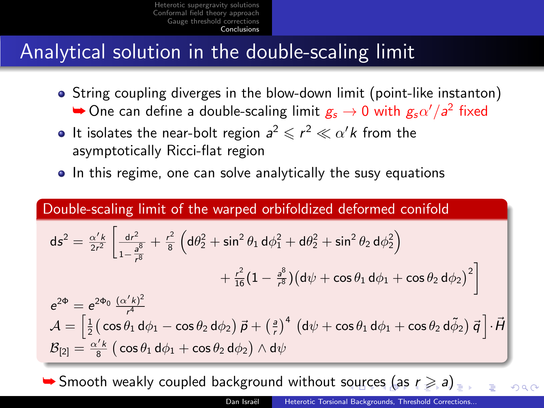### Analytical solution in the double-scaling limit

- String coupling diverges in the blow-down limit (point-like instanton)  $\blacktriangleright$  One can define a double-scaling limit  $g_s \to 0$  with  $g_s \alpha'/a^2$  fixed
- It isolates the near-bolt region  $a^2 \leqslant r^2 \ll \alpha' k$  from the asymptotically Ricci-flat region
- In this regime, one can solve analytically the susy equations

### Double-scaling limit of the warped orbifoldized deformed conifold

$$
ds^{2} = \frac{\alpha' k}{2r^{2}} \left[ \frac{dr^{2}}{1 - \frac{a^{8}}{r^{8}}} + \frac{r^{2}}{8} \left( d\theta_{2}^{2} + \sin^{2} \theta_{1} d\phi_{1}^{2} + d\theta_{2}^{2} + \sin^{2} \theta_{2} d\phi_{2}^{2} \right) \right.+ \frac{r^{2}}{16} (1 - \frac{a^{8}}{r^{8}}) (d\psi + \cos \theta_{1} d\phi_{1} + \cos \theta_{2} d\phi_{2})^{2} \right]e^{2\Phi} = e^{2\Phi_{0}} \frac{(\alpha' k)^{2}}{r^{4}}\mathcal{A} = \left[ \frac{1}{2} \left( \cos \theta_{1} d\phi_{1} - \cos \theta_{2} d\phi_{2} \right) \vec{p} + \left( \frac{a}{r} \right)^{4} \left( d\psi + \cos \theta_{1} d\phi_{1} + \cos \theta_{2} d\tilde{\phi}_{2} \right) \vec{q} \right] \cdot \vec{H}\mathcal{B}_{[2]} = \frac{\alpha' k}{8} \left( \cos \theta_{1} d\phi_{1} + \cos \theta_{2} d\phi_{2} \right) \wedge d\psi
$$

<span id="page-33-0"></span> $\blacktriangleright$  $\blacktriangleright$  $\blacktriangleright$  $\blacktriangleright$  $\blacktriangleright$ Smooth weakly c[ou](#page-32-0)pled background without sour[ce](#page-34-0)[s](#page-34-0) [\(a](#page-33-0)s  $r \geq a$ [\)](#page-27-0)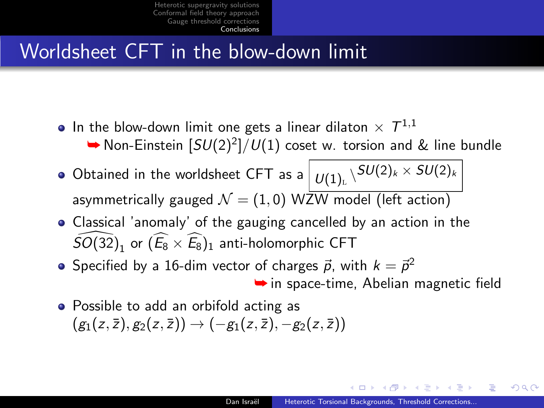# Worldsheet CFT in the blow-down limit

- In the blow-down limit one gets a linear dilaton  $\times$   $\mathcal{T}^{1,1}$ 
	- ▶ Non-Einstein  $[SU(2)^2]/U(1)$  coset w. torsion and & line bundle
- Obtained in the worldsheet CFT as a  $\big\vert \, \nu_{(1)_\mathbb{L}} \backslash^{SU(2)_k \times \, SU(2)_k}$ asymmetrically gauged  $\mathcal{N} = (1, 0)$  WZW model (left action)
- Classical 'anomaly' of the gauging cancelled by an action in the  $\widehat{SO(32)}_1$  or  $(\widehat{E_8} \times \widehat{E_8})_1$  anti-holomorphic CFT
- Specified by a 16-dim vector of charges  $\vec{p}$ , with  $k = \vec{p}^2$  $\rightarrow$  in space-time, Abelian magnetic field
- <span id="page-34-0"></span>• Possible to add an orbifold acting as  $(g_1(z, \overline{z}), g_2(z, \overline{z})) \rightarrow (-g_1(z, \overline{z}), -g_2(z, \overline{z}))$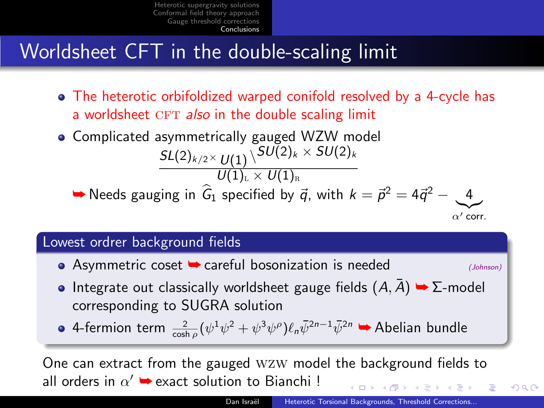# Worldsheet CFT in the double-scaling limit

- The heterotic orbifoldized warped conifold resolved by a 4-cycle has a worldsheet CFT also in the double scaling limit
- Complicated asymmetrically gauged WZW model  $\mathcal{SL}(2)_{k/2} \times \mathcal{U}(1) \, \backslash \, ^{\textstyle {\cal SU}(2)_k} \times \mathcal{SU}(2)_k$  $\overline{U(1)_{L}\times U(1)_{R}}$

➡ Needs gauging in  $\widehat{G}_1$  specified by  $\vec{q}$ , with  $k = \vec{p}^2 = 4\vec{q}^2 - \underbrace{4\vec{q}^2}$ 

 $\alpha'$  corr.

 $2990$ 

#### Lowest ordrer background fields

 $\bullet$  Asymmetric coset  $\bullet$  careful bosonization is needed (Johnson)

• Integrate out classically worldsheet gauge fields  $(A, A) \rightarrow \Sigma$ -model corresponding to SUGRA solution

4-fermion term  $\frac{2}{\cosh p}(\psi^1\psi^2+\psi^3\psi^{\rho})\ell_n\bar{\psi}^{2n-1}\bar{\psi}^{2n}$  → Abelian bundle

One can extract from the gauged wzw model the background fields to all orders in  $\alpha' \rightarrow$  exact solution to Bianchi !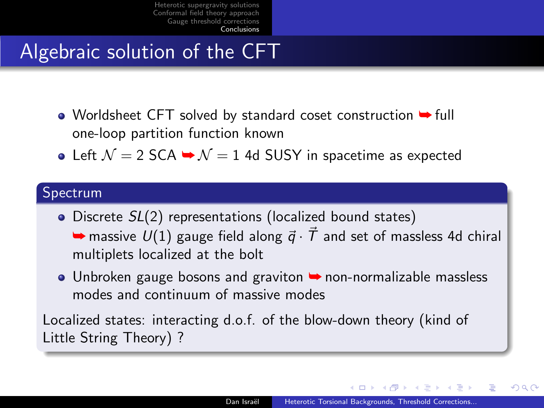## Algebraic solution of the CFT

- Worldsheet CFT solved by standard coset construction ➡ full one-loop partition function known
- Left  $\mathcal{N} = 2$  SCA  $\rightarrow \mathcal{N} = 1$  4d SUSY in spacetime as expected

#### Spectrum

• Discrete  $SL(2)$  representations (localized bound states)  $\rightarrow$  massive  $U(1)$  gauge field along  $\vec{q} \cdot \vec{T}$  and set of massless 4d chiral multiplets localized at the bolt

● Unbroken gauge bosons and graviton ▶ non-normalizable massless modes and continuum of massive modes

Localized states: interacting d.o.f. of the blow-down theory (kind of Little String Theory) ?